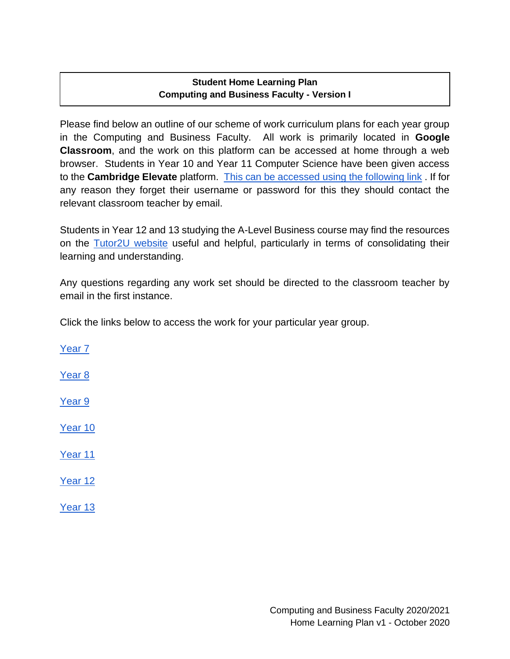#### **Student Home Learning Plan Computing and Business Faculty - Version I**

Please find below an outline of our scheme of work curriculum plans for each year group in the Computing and Business Faculty. All work is primarily located in **Google Classroom**, and the work on this platform can be accessed at home through a web browser. Students in Year 10 and Year 11 Computer Science have been given access to the **Cambridge Elevate** platform. [This can be accessed using the following link](https://elevate.cambridge.org/elevate/Login.aspx#b) . If for any reason they forget their username or password for this they should contact the relevant classroom teacher by email.

Students in Year 12 and 13 studying the A-Level Business course may find the resources on the [Tutor2U website](https://www.tutor2u.net/business) useful and helpful, particularly in terms of consolidating their learning and understanding.

Any questions regarding any work set should be directed to the classroom teacher by email in the first instance.

Click the links below to access the work for your particular year group.

[Year 7](#page-1-0) [Year 8](#page-1-1) [Year 9](#page-2-0) [Year 10](#page-2-1) [Year 11](#page-3-0)  [Year 12](#page-5-0)  [Year 13](#page-5-1)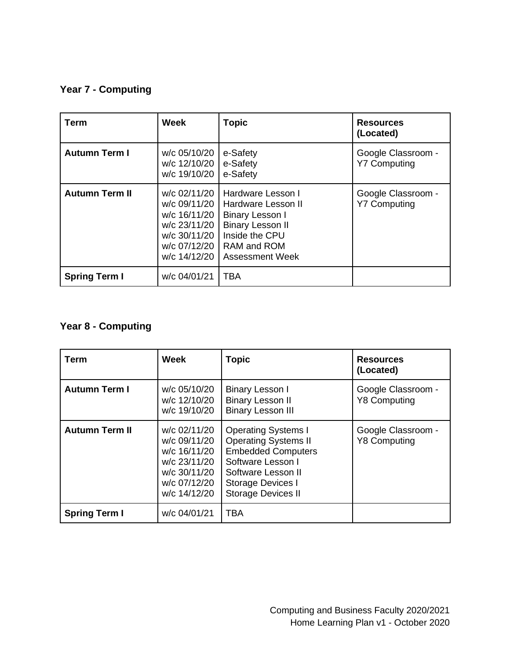# <span id="page-1-0"></span>**Year 7 - Computing**

| <b>Term</b>           | <b>Week</b>                                                                                                  | <b>Topic</b>                                                                                                                                            | <b>Resources</b><br>(Located)             |
|-----------------------|--------------------------------------------------------------------------------------------------------------|---------------------------------------------------------------------------------------------------------------------------------------------------------|-------------------------------------------|
| <b>Autumn Term I</b>  | w/c 05/10/20<br>w/c 12/10/20<br>w/c 19/10/20                                                                 | e-Safety<br>e-Safety<br>e-Safety                                                                                                                        | Google Classroom -<br><b>Y7 Computing</b> |
| <b>Autumn Term II</b> | w/c 02/11/20<br>w/c 09/11/20<br>w/c 16/11/20<br>w/c 23/11/20<br>w/c 30/11/20<br>w/c 07/12/20<br>w/c 14/12/20 | Hardware Lesson I<br>Hardware Lesson II<br><b>Binary Lesson I</b><br><b>Binary Lesson II</b><br>Inside the CPU<br>RAM and ROM<br><b>Assessment Week</b> | Google Classroom -<br><b>Y7 Computing</b> |
| <b>Spring Term I</b>  | w/c 04/01/21                                                                                                 | <b>TBA</b>                                                                                                                                              |                                           |

# <span id="page-1-1"></span>**Year 8 - Computing**

| <b>Term</b>           | Week                                                                                                         | <b>Topic</b>                                                                                                                                                                        | <b>Resources</b><br>(Located)             |
|-----------------------|--------------------------------------------------------------------------------------------------------------|-------------------------------------------------------------------------------------------------------------------------------------------------------------------------------------|-------------------------------------------|
| <b>Autumn Term I</b>  | w/c 05/10/20<br>w/c 12/10/20<br>w/c 19/10/20                                                                 | Binary Lesson I<br><b>Binary Lesson II</b><br><b>Binary Lesson III</b>                                                                                                              | Google Classroom -<br><b>Y8 Computing</b> |
| <b>Autumn Term II</b> | w/c 02/11/20<br>w/c 09/11/20<br>w/c 16/11/20<br>w/c 23/11/20<br>w/c 30/11/20<br>w/c 07/12/20<br>w/c 14/12/20 | <b>Operating Systems I</b><br><b>Operating Systems II</b><br><b>Embedded Computers</b><br>Software Lesson I<br>Software Lesson II<br>Storage Devices I<br><b>Storage Devices II</b> | Google Classroom -<br><b>Y8 Computing</b> |
| <b>Spring Term I</b>  | w/c 04/01/21                                                                                                 | <b>TBA</b>                                                                                                                                                                          |                                           |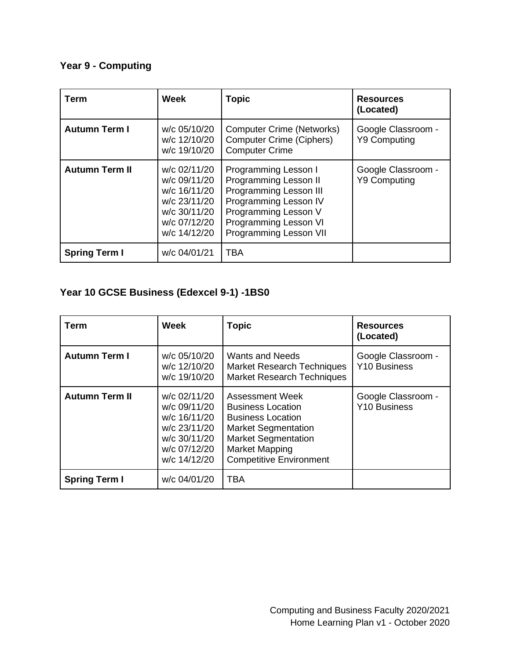<span id="page-2-0"></span>**Year 9 - Computing**

| <b>Term</b>           | <b>Week</b>                                                                                                  | <b>Topic</b>                                                                                                                                                                              | <b>Resources</b><br>(Located)             |
|-----------------------|--------------------------------------------------------------------------------------------------------------|-------------------------------------------------------------------------------------------------------------------------------------------------------------------------------------------|-------------------------------------------|
| <b>Autumn Term I</b>  | w/c 05/10/20<br>w/c 12/10/20<br>w/c 19/10/20                                                                 | <b>Computer Crime (Networks)</b><br><b>Computer Crime (Ciphers)</b><br><b>Computer Crime</b>                                                                                              | Google Classroom -<br><b>Y9 Computing</b> |
| <b>Autumn Term II</b> | w/c 02/11/20<br>w/c 09/11/20<br>w/c 16/11/20<br>w/c 23/11/20<br>w/c 30/11/20<br>w/c 07/12/20<br>w/c 14/12/20 | Programming Lesson I<br><b>Programming Lesson II</b><br>Programming Lesson III<br>Programming Lesson IV<br>Programming Lesson V<br>Programming Lesson VI<br><b>Programming Lesson VII</b> | Google Classroom -<br><b>Y9 Computing</b> |
| <b>Spring Term I</b>  | w/c 04/01/21                                                                                                 | <b>TBA</b>                                                                                                                                                                                |                                           |

# <span id="page-2-1"></span>**Year 10 GCSE Business (Edexcel 9-1) -1BS0**

| Term                  | <b>Week</b>                                                                                                  | <b>Topic</b>                                                                                                                                                                                   | <b>Resources</b><br>(Located)      |
|-----------------------|--------------------------------------------------------------------------------------------------------------|------------------------------------------------------------------------------------------------------------------------------------------------------------------------------------------------|------------------------------------|
| <b>Autumn Term I</b>  | w/c 05/10/20<br>w/c 12/10/20<br>w/c 19/10/20                                                                 | <b>Wants and Needs</b><br><b>Market Research Techniques</b><br><b>Market Research Techniques</b>                                                                                               | Google Classroom -<br>Y10 Business |
| <b>Autumn Term II</b> | w/c 02/11/20<br>w/c 09/11/20<br>w/c 16/11/20<br>w/c 23/11/20<br>w/c 30/11/20<br>w/c 07/12/20<br>w/c 14/12/20 | Assessment Week<br><b>Business Location</b><br><b>Business Location</b><br><b>Market Segmentation</b><br><b>Market Segmentation</b><br><b>Market Mapping</b><br><b>Competitive Environment</b> | Google Classroom -<br>Y10 Business |
| <b>Spring Term I</b>  | w/c 04/01/20                                                                                                 | TBA                                                                                                                                                                                            |                                    |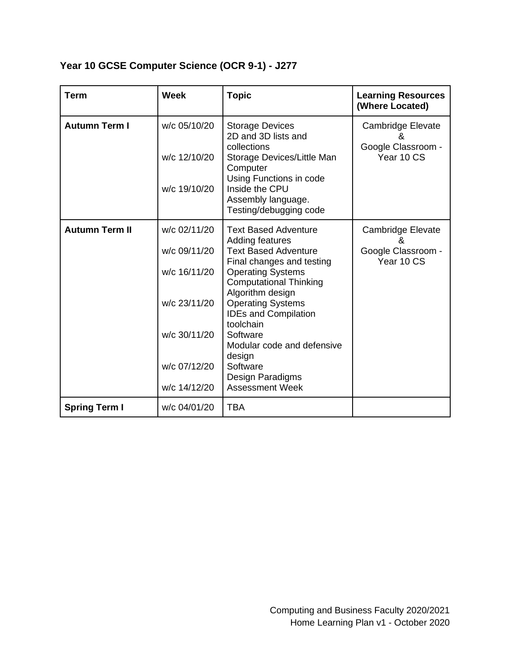**Year 10 GCSE Computer Science (OCR 9-1) - J277**

<span id="page-3-0"></span>

| <b>Term</b>           | <b>Week</b>                                                                                                  | <b>Topic</b>                                                                                                                                                                                                                                                                                                                                                                      | <b>Learning Resources</b><br>(Where Located)                |
|-----------------------|--------------------------------------------------------------------------------------------------------------|-----------------------------------------------------------------------------------------------------------------------------------------------------------------------------------------------------------------------------------------------------------------------------------------------------------------------------------------------------------------------------------|-------------------------------------------------------------|
| <b>Autumn Term I</b>  | w/c 05/10/20<br>w/c 12/10/20<br>w/c 19/10/20                                                                 | <b>Storage Devices</b><br>2D and 3D lists and<br>collections<br>Storage Devices/Little Man<br>Computer<br>Using Functions in code<br>Inside the CPU<br>Assembly language.<br>Testing/debugging code                                                                                                                                                                               | Cambridge Elevate<br>&<br>Google Classroom -<br>Year 10 CS  |
| <b>Autumn Term II</b> | w/c 02/11/20<br>w/c 09/11/20<br>w/c 16/11/20<br>w/c 23/11/20<br>w/c 30/11/20<br>w/c 07/12/20<br>w/c 14/12/20 | <b>Text Based Adventure</b><br>Adding features<br><b>Text Based Adventure</b><br>Final changes and testing<br><b>Operating Systems</b><br><b>Computational Thinking</b><br>Algorithm design<br><b>Operating Systems</b><br><b>IDEs and Compilation</b><br>toolchain<br>Software<br>Modular code and defensive<br>design<br>Software<br>Design Paradigms<br><b>Assessment Week</b> | Cambridge Elevate<br>х,<br>Google Classroom -<br>Year 10 CS |
| <b>Spring Term I</b>  | w/c 04/01/20                                                                                                 | <b>TBA</b>                                                                                                                                                                                                                                                                                                                                                                        |                                                             |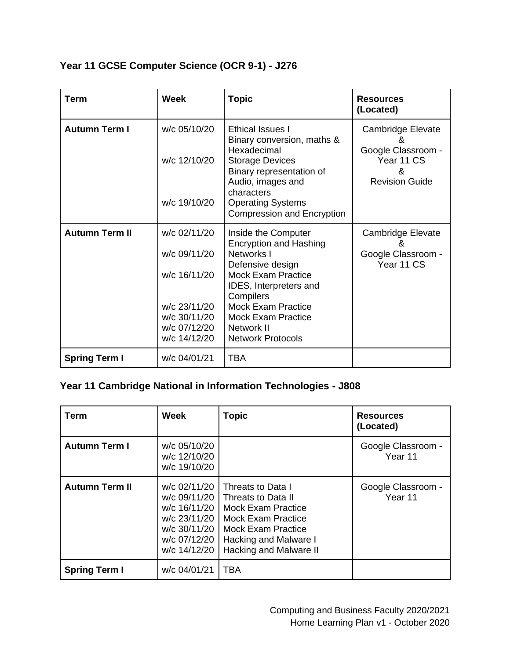|  | Year 11 GCSE Computer Science (OCR 9-1) - J276 |  |  |  |
|--|------------------------------------------------|--|--|--|
|--|------------------------------------------------|--|--|--|

| <b>Term</b>           | <b>Week</b>                                                                                                  | <b>Topic</b>                                                                                                                                                                                                                                                   | <b>Resources</b><br>(Located)                                                            |
|-----------------------|--------------------------------------------------------------------------------------------------------------|----------------------------------------------------------------------------------------------------------------------------------------------------------------------------------------------------------------------------------------------------------------|------------------------------------------------------------------------------------------|
| <b>Autumn Term I</b>  | w/c 05/10/20<br>w/c 12/10/20<br>w/c 19/10/20                                                                 | <b>Ethical Issues I</b><br>Binary conversion, maths &<br>Hexadecimal<br><b>Storage Devices</b><br>Binary representation of<br>Audio, images and<br>characters<br><b>Operating Systems</b><br><b>Compression and Encryption</b>                                 | Cambridge Elevate<br>&<br>Google Classroom -<br>Year 11 CS<br>&<br><b>Revision Guide</b> |
| <b>Autumn Term II</b> | w/c 02/11/20<br>w/c 09/11/20<br>w/c 16/11/20<br>w/c 23/11/20<br>w/c 30/11/20<br>w/c 07/12/20<br>w/c 14/12/20 | Inside the Computer<br><b>Encryption and Hashing</b><br>Networks I<br>Defensive design<br><b>Mock Exam Practice</b><br>IDES, Interpreters and<br>Compilers<br><b>Mock Exam Practice</b><br><b>Mock Exam Practice</b><br>Network II<br><b>Network Protocols</b> | Cambridge Elevate<br>&<br>Google Classroom -<br>Year 11 CS                               |
| <b>Spring Term I</b>  | w/c 04/01/21                                                                                                 | <b>TBA</b>                                                                                                                                                                                                                                                     |                                                                                          |

# **Year 11 Cambridge National in Information Technologies - J808**

| <b>Term</b>           | <b>Week</b>                                                                                                  | <b>Topic</b>                                                                                                                                                                      | <b>Resources</b><br>(Located) |
|-----------------------|--------------------------------------------------------------------------------------------------------------|-----------------------------------------------------------------------------------------------------------------------------------------------------------------------------------|-------------------------------|
| <b>Autumn Term I</b>  | w/c 05/10/20<br>w/c 12/10/20<br>w/c 19/10/20                                                                 |                                                                                                                                                                                   | Google Classroom -<br>Year 11 |
| <b>Autumn Term II</b> | w/c 02/11/20<br>w/c 09/11/20<br>w/c 16/11/20<br>w/c 23/11/20<br>w/c 30/11/20<br>w/c 07/12/20<br>w/c 14/12/20 | Threats to Data I<br>Threats to Data II<br><b>Mock Exam Practice</b><br><b>Mock Exam Practice</b><br><b>Mock Exam Practice</b><br>Hacking and Malware I<br>Hacking and Malware II | Google Classroom -<br>Year 11 |
| <b>Spring Term I</b>  | w/c 04/01/21                                                                                                 | <b>TBA</b>                                                                                                                                                                        |                               |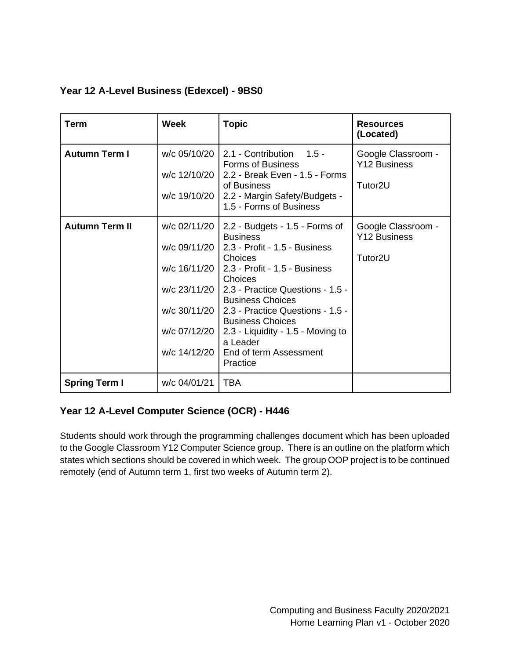### <span id="page-5-0"></span>**Year 12 A-Level Business (Edexcel) - 9BS0**

| <b>Term</b>           | <b>Week</b>                                                                                  | <b>Topic</b>                                                                                                                                                                                                                                                                                                                                                                  | <b>Resources</b><br>(Located)                                    |
|-----------------------|----------------------------------------------------------------------------------------------|-------------------------------------------------------------------------------------------------------------------------------------------------------------------------------------------------------------------------------------------------------------------------------------------------------------------------------------------------------------------------------|------------------------------------------------------------------|
| <b>Autumn Term I</b>  | w/c 05/10/20<br>w/c 12/10/20<br>w/c 19/10/20                                                 | 2.1 - Contribution 1.5 -<br><b>Forms of Business</b><br>2.2 - Break Even - 1.5 - Forms<br>of Business<br>2.2 - Margin Safety/Budgets -<br>1.5 - Forms of Business                                                                                                                                                                                                             | Google Classroom -<br><b>Y12 Business</b><br>Tutor <sub>2U</sub> |
| <b>Autumn Term II</b> | w/c 02/11/20<br>w/c 09/11/20<br>w/c 23/11/20<br>w/c 30/11/20<br>w/c 07/12/20<br>w/c 14/12/20 | 2.2 - Budgets - 1.5 - Forms of<br><b>Business</b><br>2.3 - Profit - 1.5 - Business<br>Choices<br>w/c 16/11/20   2.3 - Profit - 1.5 - Business<br>Choices<br>2.3 - Practice Questions - 1.5 -<br><b>Business Choices</b><br>2.3 - Practice Questions - 1.5 -<br><b>Business Choices</b><br>2.3 - Liquidity - 1.5 - Moving to<br>a Leader<br>End of term Assessment<br>Practice | Google Classroom -<br>Y12 Business<br>Tutor <sub>2U</sub>        |
| <b>Spring Term I</b>  | w/c 04/01/21                                                                                 | <b>TBA</b>                                                                                                                                                                                                                                                                                                                                                                    |                                                                  |

### **Year 12 A-Level Computer Science (OCR) - H446**

<span id="page-5-1"></span>Students should work through the programming challenges document which has been uploaded to the Google Classroom Y12 Computer Science group. There is an outline on the platform which states which sections should be covered in which week. The group OOP project is to be continued remotely (end of Autumn term 1, first two weeks of Autumn term 2).